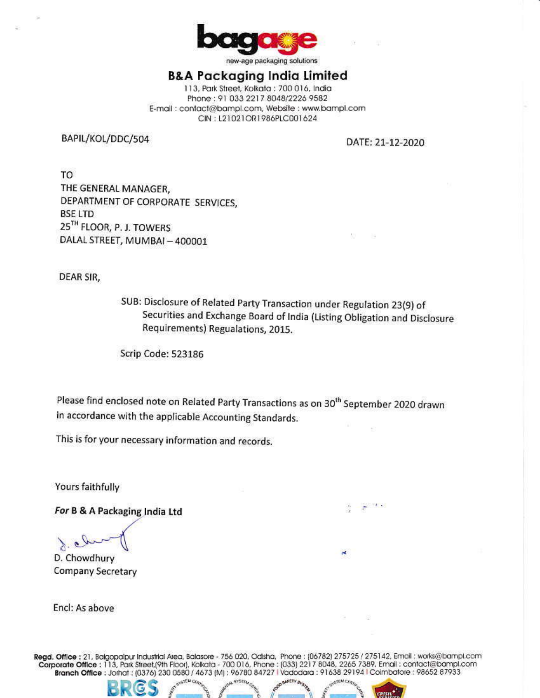

new-age packaging solutions

### B&A Packaging India Limited

113, Park Street, Kolkata : 700 016, India Phone: 91 033 2217 8048/2226 9582 E-mail: contact@bampl.com, Website : www.bampl.com CIN: L21021OR1986PLC001624

BAPIL/KOL/DDC/504

DATE: 21-12-2020

TO THE GENERAL MANAGER, DEPARTMENT OF CORPORATE SERVICES, **BSE LTD** 25TH FLOOR, P. J. TOWERS DALAL STREET, MUMBAI-400001

DEAR SIR,

SUB: Disclosure of Related Party Transaction under Regulation 23(9) of Securities and Exchange Board of India (Listing Obligation and Disclosure Requirements) Regualations, 2015.

Scrip Code: 523186

Please find enclosed note on Related Party Transactions as on 30<sup>th</sup> September 2020 drawn in accordance with the applicable Accounting Standards.

This is for your necessary information and records.

Yours faithfully

For B & A Packaging India Ltd

D. Chowdhury Company Secretary

Encl: As above

Regd. Office : 21, Balgopalpur Industrial Area, Balasore - 756 020, Odisha, Phone : (06782) 275725 / 275142, Email : works@bampl.com<br>Corporate Office : 113, Park Street,(9th Floor), Kolkata - 700 016, Phone : (033) 2217 80

SYSTE.

**SEMICH**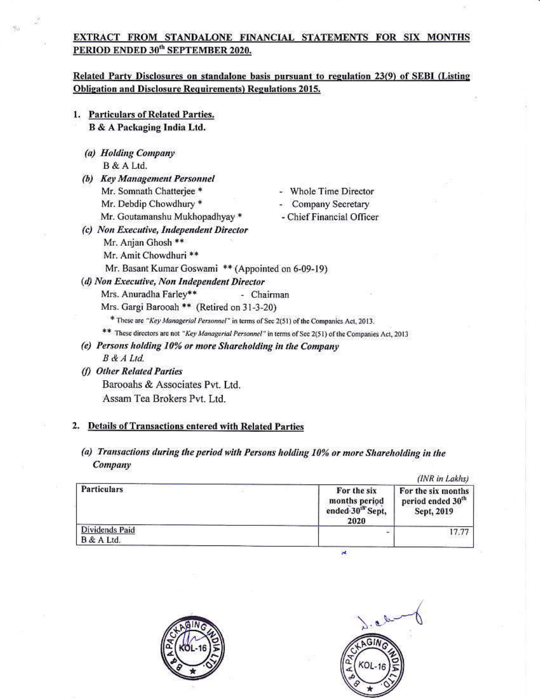#### EXTRACT FROM STANDALONE FlNANClAL STATEMENTS FOR SIX MONTHS PERIOD ENDED 30<sup>th</sup> SEPTEMBER 2020.

## Related Party Disclosures on standalone basis pursuant to regulation 23(9) of SEBI (Listing Obligation and Disclosure Requirements) Regulations 2015.

- 1. Particulars of Related Parties. B & A Packaging India Ltd.
	- (a) Holding Company B &A Ltd.
	- (b) Key Management Personnel Mr. Somnath Chatterjee \* - - Whole Time Director Mr. Behinam Chatterjee<br>Mr. Debdip Chowdhury \* The Company Secretary Mr. Bebang Chowanary<br>Mr. Goutamanshu Mukhopadhyay \* Chief Financial Officer
	-
- Whole Time Director
- Company Secretary
- Chief Financial Officer
- (c) Non Executive, Independent Director Mr. Anjan Ghosh \*\*
	- Mr. Amit Chowdhuri \*\* Mr. Basant Kumar Goswami \*\* (Appointed on 6-09-19)
- (d) Non Executive, Non Independent Director
	- Mrs. Anuradha Farley\*\* (Chairman
	- Mrs. Gargi Barooah \*\* (Retired on 31-3-20)
		- \* These are "Key Managerial Personnel" in terms of Sec 2(51) of the Companies Act, 2013.
	- \*\* These directors are not "Key Managerial Personnel" in terms of Sec 2(51) of the Companies Act, 2013
- (e) Persons holding 10% or more Shareholding in the Company B &A ltd.
- (f) Other Related Parties Barooahs & Associates Pvt. Ltd. Assam Tea Brokers Pvt. Ltd.

## 2. Details of Transactions entered with Related Part

(a) Transactions during the period with Persons holding 10% or more Shareholding in the Company

|                              | (INR in Lakhs)                                                       |                                                                   |  |
|------------------------------|----------------------------------------------------------------------|-------------------------------------------------------------------|--|
| Particulars                  | For the six<br>months period<br>ended 30 <sup>th</sup> Sept,<br>2020 | For the six months<br>period ended 30 <sup>th</sup><br>Sept, 2019 |  |
| Dividends Paid<br>B & A Ltd. |                                                                      | 17.77                                                             |  |

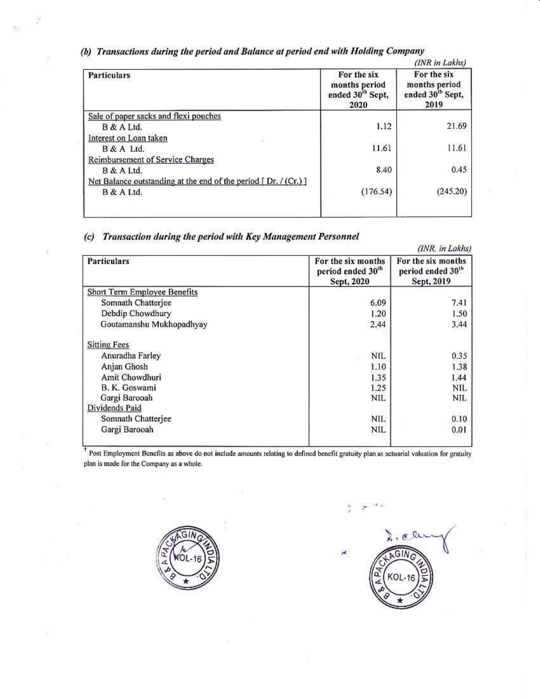| (b) Transactions during the period and Balance at period end with Holding Company |  |
|-----------------------------------------------------------------------------------|--|
|-----------------------------------------------------------------------------------|--|

| <b>Particulars</b>                                               | For the six<br>months period<br>ended 30 <sup>th</sup> Sept,<br>2020 | For the six<br>months period<br>ended 30 <sup>th</sup> Sept,<br>2019 |
|------------------------------------------------------------------|----------------------------------------------------------------------|----------------------------------------------------------------------|
| Sale of paper sacks and flexi pouches                            |                                                                      |                                                                      |
| B & A Ltd.                                                       | 1.12                                                                 | 21.69                                                                |
| Interest on Loan taken                                           |                                                                      |                                                                      |
| B & A Ltd.                                                       | 11.61                                                                | 11.61                                                                |
| Reimbursement of Service Charges<br>B & A Ltd.                   | 8.40                                                                 | 0.45                                                                 |
| Net Balance outstanding at the end of the period $[Dr. / (Cr.)]$ |                                                                      |                                                                      |
| B & A Ltd.                                                       | (176.54)                                                             | (245.20)                                                             |

(c) Transaction during the period with Key Management Personnel

| <b>Particulars</b>                  | For the six months                          | For the six months                          |
|-------------------------------------|---------------------------------------------|---------------------------------------------|
|                                     | period ended 30 <sup>th</sup><br>Sept, 2020 | period ended 30 <sup>th</sup><br>Sept, 2019 |
| <b>Short Term Employee Benefits</b> |                                             |                                             |
| Somnath Chatterjee                  | 6.09                                        | 7.41                                        |
| Debdip Chowdhury                    | 1.20                                        | 1.50                                        |
| Goutamanshu Mukhopadhyay            | 2.44                                        | 3.44                                        |
| <b>Sitting Fees</b>                 |                                             |                                             |
| Anuradha Farley                     | <b>NIL</b>                                  | 0.35                                        |
| Anjan Ghosh                         | 1.10                                        | 1.38                                        |
| Amit Chowdhuri                      | 1.35                                        | 1.44                                        |
| B. K. Goswami                       | 1.25                                        | NIL                                         |
| Gargi Barooah                       | NIL                                         | NIL                                         |
| Dividends Paid                      |                                             | <b>WEE</b>                                  |
| Somnath Chatterjee                  | NIL.                                        | 0.10                                        |
| Gargi Barooah                       | NIL                                         | 0.01                                        |
|                                     |                                             |                                             |

<sup>†</sup> Post Employment Benefits as above do not include amounts relating to defined benefit gratuity plan as actuarial valuation for gratuity plan is made for the Company as <sup>a</sup> whole.



cle × GIN

 $\cdot$   $\cdot$   $\cdot$   $\cdot$ 

ğ